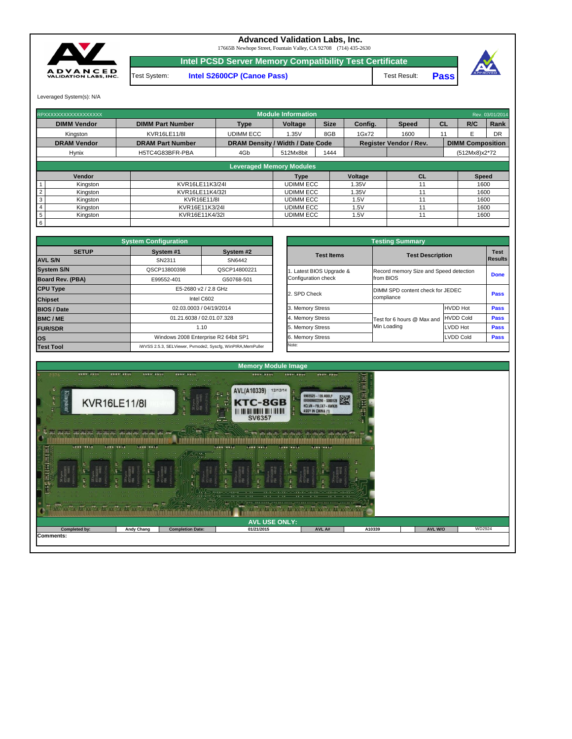|                      |                                              |            | $\sim$ $\sim$ |        |         |        |  |  |  |  |  |
|----------------------|----------------------------------------------|------------|---------------|--------|---------|--------|--|--|--|--|--|
| <b>AVL USE ONLY:</b> |                                              |            |               |        |         |        |  |  |  |  |  |
| <b>Completed by:</b> | <b>Andy Chang</b><br><b>Completion Date:</b> | 01/21/2015 | AVL A#        | A10339 | AVL W/O | WD2924 |  |  |  |  |  |



|              | <b>System Configuration</b> |                                                             |                       | <b>Testing Summary</b>                 |                               |             |  |
|--------------|-----------------------------|-------------------------------------------------------------|-----------------------|----------------------------------------|-------------------------------|-------------|--|
| <b>SETUP</b> | System #1                   | System #2                                                   | <b>Test Items</b>     | <b>Test Description</b>                | <b>Test</b><br><b>Results</b> |             |  |
|              | SN2311                      | SN6442                                                      |                       |                                        |                               |             |  |
|              | QSCP13800398                | QSCP14800221                                                | Latest BIOS Upgrade & | Record memory Size and Speed detection |                               |             |  |
| <b>BA)</b>   | E99552-401                  | G50768-501                                                  | Configuration check   | from BIOS                              |                               | <b>Done</b> |  |
|              |                             | E5-2680 v2 / 2.8 GHz                                        |                       | DIMM SPD content check for JEDEC       |                               | <b>Pass</b> |  |
|              |                             | Intel C602                                                  | 2. SPD Check          | compliance                             |                               |             |  |
|              |                             | 02.03.0003 / 04/19/2014                                     | 3. Memory Stress      |                                        | <b>HVDD Hot</b>               | <b>Pass</b> |  |
|              |                             | 01.21.6038 / 02.01.07.328                                   | 4. Memory Stress      | Test for 6 hours @ Max and             | <b>HVDD Cold</b>              | <b>Pass</b> |  |
|              |                             | 1.10                                                        | 5. Memory Stress      | Min Loading                            | LVDD Hot                      | <b>Pass</b> |  |
|              |                             | Windows 2008 Enterprise R2 64bit SP1                        | 6. Memory Stress      |                                        | <b>LVDD Cold</b>              | <b>Pass</b> |  |
|              |                             | iWVSS 2.5.3. SELViewer, Pymode2, Syscfa, WinPIRA, MemPuller | Note:                 |                                        |                               |             |  |

| RPXXXXXXXXXXXXXXXXXX        |                         |                                 | <b>Module Information</b>               |             |                |                               |           |                         | Rev. 03/01/2014 |  |
|-----------------------------|-------------------------|---------------------------------|-----------------------------------------|-------------|----------------|-------------------------------|-----------|-------------------------|-----------------|--|
|                             |                         |                                 |                                         |             |                |                               |           |                         |                 |  |
| <b>DIMM Vendor</b>          | <b>DIMM Part Number</b> | <b>Type</b>                     | <b>Voltage</b>                          | <b>Size</b> | Config.        | <b>Speed</b>                  | <b>CL</b> | R/C                     | Rank            |  |
| Kingston                    | <b>KVR16LE11/8I</b>     | <b>UDIMM ECC</b>                | 1.35V                                   | 8GB         | 1Gx72          | 1600                          |           |                         | <b>DR</b>       |  |
| <b>DRAM Vendor</b>          | <b>DRAM Part Number</b> |                                 | <b>DRAM Density / Width / Date Code</b> |             |                | <b>Register Vendor / Rev.</b> |           | <b>DIMM Composition</b> |                 |  |
| <b>Hynix</b>                | H5TC4G83BFR-PBA         | 4Gb                             | 512Mx8bit                               | 1444        |                |                               |           | (512Mx8)x2*72           |                 |  |
|                             |                         |                                 |                                         |             |                |                               |           |                         |                 |  |
|                             |                         | <b>Leveraged Memory Modules</b> |                                         |             |                |                               |           |                         |                 |  |
| Vendor                      |                         |                                 | <b>Type</b>                             |             | <b>Voltage</b> | <b>CL</b>                     |           | <b>Speed</b>            |                 |  |
| Kingston                    | KVR16LE11K3/24I         |                                 | <b>UDIMM ECC</b>                        |             | 1.35V          | 11                            |           | 1600                    |                 |  |
| Kingston                    | KVR16LE11K4/32I         |                                 | <b>UDIMM ECC</b>                        |             | 1.35V          |                               |           | 1600                    |                 |  |
| 3<br>Kingston               | KVR16E11/8I             |                                 | <b>UDIMM ECC</b>                        |             | 1.5V           | 11                            |           | 1600                    |                 |  |
| Kingston                    | KVR16E11K3/24I          |                                 | <b>UDIMM ECC</b>                        |             | 1.5V           | 11                            |           | 1600                    |                 |  |
| $5\phantom{.0}$<br>Kingston | KVR16E11K4/32I          |                                 | <b>UDIMM ECC</b>                        |             | 1.5V           | 11                            |           | 1600                    |                 |  |
| $6\overline{6}$             |                         |                                 |                                         |             |                |                               |           |                         |                 |  |

|                                | <b>System Configuration</b> |                                                             |                         | <b>Testing Summary</b>                         |                  |                               |  |
|--------------------------------|-----------------------------|-------------------------------------------------------------|-------------------------|------------------------------------------------|------------------|-------------------------------|--|
| <b>SETUP</b><br><b>AVL S/N</b> | System #1<br>SN2311         | System #2<br>SN6442                                         | <b>Test Items</b>       | <b>Test Description</b>                        |                  | <b>Test</b><br><b>Results</b> |  |
| <b>System S/N</b>              | QSCP13800398                | QSCP14800221                                                | . Latest BIOS Upgrade & | Record memory Size and Speed detection         |                  |                               |  |
| <b>Board Rev. (PBA)</b>        | E99552-401                  | G50768-501                                                  | Configuration check     | from BIOS                                      |                  | <b>Done</b>                   |  |
| <b>CPU Type</b>                |                             | E5-2680 v2 / 2.8 GHz                                        |                         | DIMM SPD content check for JEDEC<br>compliance |                  |                               |  |
| <b>Chipset</b>                 |                             | Intel C602                                                  | 2. SPD Check            |                                                |                  |                               |  |
| <b>BIOS / Date</b>             |                             | 02.03.0003 / 04/19/2014                                     | 3. Memory Stress        |                                                | <b>HVDD Hot</b>  | <b>Pass</b>                   |  |
| <b>BMC/ME</b>                  |                             | 01.21.6038 / 02.01.07.328                                   | 4. Memory Stress        | Test for 6 hours @ Max and                     | <b>HVDD Cold</b> | <b>Pass</b>                   |  |
| <b>FUR/SDR</b>                 |                             | 1.10                                                        | 5. Memory Stress        | Min Loading                                    | LVDD Hot         | <b>Pass</b>                   |  |
| <b>OS</b>                      |                             | Windows 2008 Enterprise R2 64bit SP1                        | 6. Memory Stress        |                                                | <b>LVDD Cold</b> | <b>Pass</b>                   |  |
| <b>Test Tool</b>               |                             | iWVSS 2.5.3, SELViewer, Pvmode2, Syscfg, WinPIRA, MemPuller | Note:                   |                                                |                  |                               |  |

Test System: **Intel S2600CP (Canoe Pass)**



## **Advanced Validation Labs, Inc.**

17665B Newhope Street, Fountain Valley, CA 92708 (714) 435-2630

Leveraged System(s): N/A

**Pass** Test Result:



**Intel PCSD Server Memory Compatibility Test Certificate**